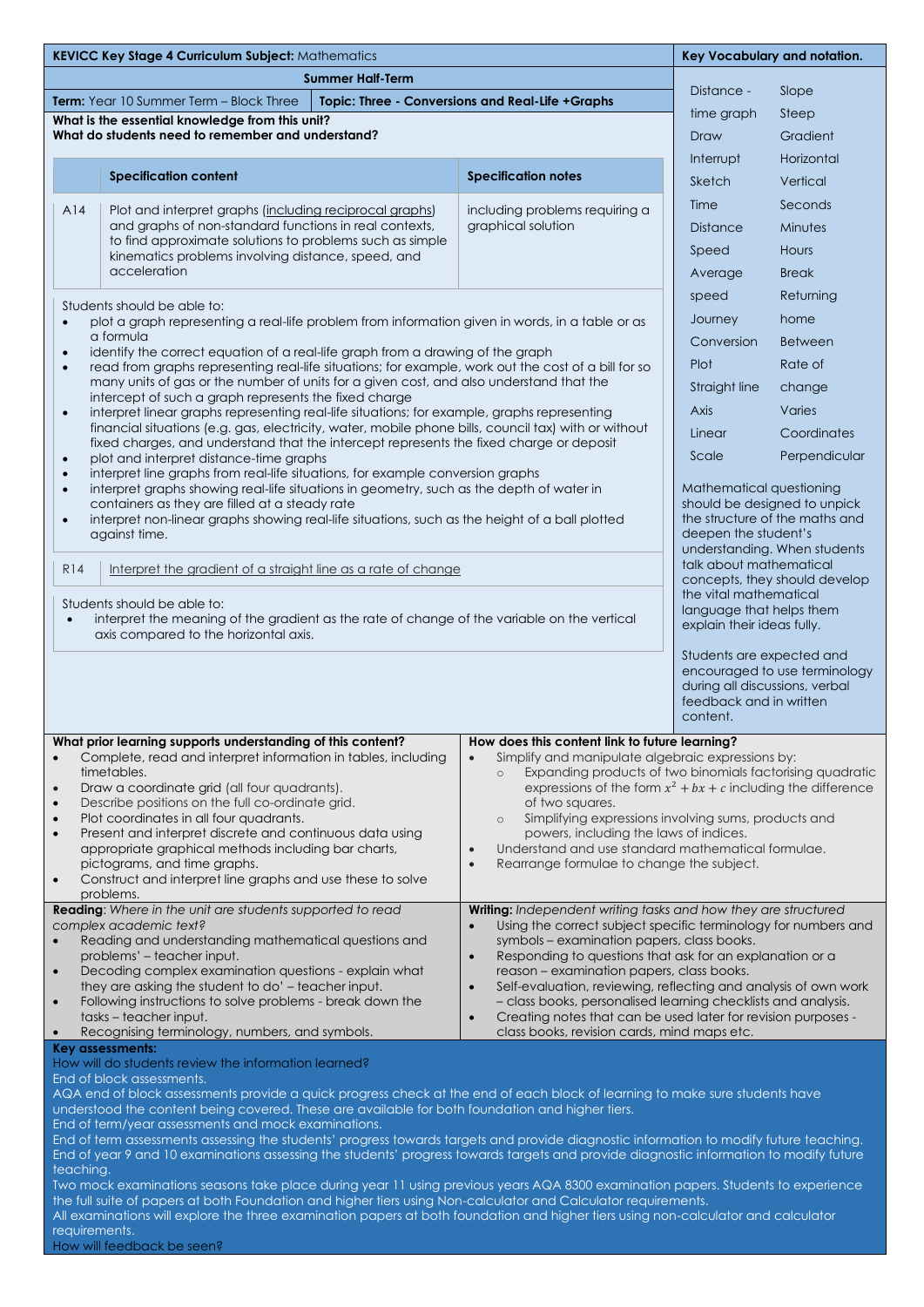| <b>KEVICC Key Stage 4 Curriculum Subject: Mathematics</b>                                                                                                                                                                                            |                                                                                                                                                                                                                                                                                                                                                                                        |                                                                                                                                                                                                                                                     |                                                                            | Key Vocabulary and notation.                                                                                            |                                                      |  |
|------------------------------------------------------------------------------------------------------------------------------------------------------------------------------------------------------------------------------------------------------|----------------------------------------------------------------------------------------------------------------------------------------------------------------------------------------------------------------------------------------------------------------------------------------------------------------------------------------------------------------------------------------|-----------------------------------------------------------------------------------------------------------------------------------------------------------------------------------------------------------------------------------------------------|----------------------------------------------------------------------------|-------------------------------------------------------------------------------------------------------------------------|------------------------------------------------------|--|
| <b>Summer Half-Term</b>                                                                                                                                                                                                                              |                                                                                                                                                                                                                                                                                                                                                                                        |                                                                                                                                                                                                                                                     |                                                                            | Distance -                                                                                                              | Slope                                                |  |
| Term: Year 10 Summer Term - Block Three<br>Topic: Three - Conversions and Real-Life +Graphs                                                                                                                                                          |                                                                                                                                                                                                                                                                                                                                                                                        |                                                                                                                                                                                                                                                     |                                                                            | time graph                                                                                                              | Steep                                                |  |
| What is the essential knowledge from this unit?<br>What do students need to remember and understand?                                                                                                                                                 |                                                                                                                                                                                                                                                                                                                                                                                        |                                                                                                                                                                                                                                                     |                                                                            | Draw                                                                                                                    | Gradient                                             |  |
|                                                                                                                                                                                                                                                      |                                                                                                                                                                                                                                                                                                                                                                                        |                                                                                                                                                                                                                                                     |                                                                            | Interrupt                                                                                                               | Horizontal                                           |  |
|                                                                                                                                                                                                                                                      |                                                                                                                                                                                                                                                                                                                                                                                        | <b>Specification content</b>                                                                                                                                                                                                                        | <b>Specification notes</b>                                                 | Sketch                                                                                                                  | Vertical                                             |  |
|                                                                                                                                                                                                                                                      |                                                                                                                                                                                                                                                                                                                                                                                        |                                                                                                                                                                                                                                                     |                                                                            | Time                                                                                                                    | Seconds                                              |  |
|                                                                                                                                                                                                                                                      | A14                                                                                                                                                                                                                                                                                                                                                                                    | Plot and interpret graphs (including reciprocal graphs)<br>and graphs of non-standard functions in real contexts,<br>to find approximate solutions to problems such as simple<br>kinematics problems involving distance, speed, and<br>acceleration | including problems requiring a<br>graphical solution                       | <b>Distance</b>                                                                                                         | Minutes                                              |  |
|                                                                                                                                                                                                                                                      |                                                                                                                                                                                                                                                                                                                                                                                        |                                                                                                                                                                                                                                                     |                                                                            | Speed                                                                                                                   | Hours                                                |  |
|                                                                                                                                                                                                                                                      |                                                                                                                                                                                                                                                                                                                                                                                        |                                                                                                                                                                                                                                                     |                                                                            | Average                                                                                                                 | <b>Break</b>                                         |  |
|                                                                                                                                                                                                                                                      |                                                                                                                                                                                                                                                                                                                                                                                        |                                                                                                                                                                                                                                                     |                                                                            | speed                                                                                                                   | Returning                                            |  |
|                                                                                                                                                                                                                                                      | Students should be able to:<br>plot a graph representing a real-life problem from information given in words, in a table or as<br>$\bullet$                                                                                                                                                                                                                                            |                                                                                                                                                                                                                                                     |                                                                            | Journey                                                                                                                 | home                                                 |  |
|                                                                                                                                                                                                                                                      | a formula                                                                                                                                                                                                                                                                                                                                                                              |                                                                                                                                                                                                                                                     |                                                                            | Conversion                                                                                                              | <b>Between</b>                                       |  |
|                                                                                                                                                                                                                                                      | identify the correct equation of a real-life graph from a drawing of the graph<br>$\bullet$<br>read from graphs representing real-life situations; for example, work out the cost of a bill for so<br>$\bullet$<br>many units of gas or the number of units for a given cost, and also understand that the<br>intercept of such a graph represents the fixed charge                    |                                                                                                                                                                                                                                                     |                                                                            |                                                                                                                         | Rate of                                              |  |
|                                                                                                                                                                                                                                                      |                                                                                                                                                                                                                                                                                                                                                                                        |                                                                                                                                                                                                                                                     |                                                                            |                                                                                                                         | change                                               |  |
|                                                                                                                                                                                                                                                      | interpret linear graphs representing real-life situations; for example, graphs representing<br>$\bullet$<br>financial situations (e.g. gas, electricity, water, mobile phone bills, council tax) with or without<br>fixed charges, and understand that the intercept represents the fixed charge or deposit                                                                            |                                                                                                                                                                                                                                                     |                                                                            | Axis                                                                                                                    | Varies                                               |  |
|                                                                                                                                                                                                                                                      |                                                                                                                                                                                                                                                                                                                                                                                        |                                                                                                                                                                                                                                                     |                                                                            | Linear                                                                                                                  | Coordinates                                          |  |
|                                                                                                                                                                                                                                                      | $\bullet$                                                                                                                                                                                                                                                                                                                                                                              | plot and interpret distance-time graphs                                                                                                                                                                                                             |                                                                            | Scale                                                                                                                   | Perpendicular                                        |  |
|                                                                                                                                                                                                                                                      | interpret line graphs from real-life situations, for example conversion graphs<br>$\bullet$<br>interpret graphs showing real-life situations in geometry, such as the depth of water in<br>$\bullet$<br>containers as they are filled at a steady rate<br>interpret non-linear graphs showing real-life situations, such as the height of a ball plotted<br>$\bullet$<br>against time. |                                                                                                                                                                                                                                                     |                                                                            | Mathematical questioning                                                                                                |                                                      |  |
|                                                                                                                                                                                                                                                      |                                                                                                                                                                                                                                                                                                                                                                                        |                                                                                                                                                                                                                                                     |                                                                            | should be designed to unpick                                                                                            |                                                      |  |
|                                                                                                                                                                                                                                                      |                                                                                                                                                                                                                                                                                                                                                                                        |                                                                                                                                                                                                                                                     |                                                                            | the structure of the maths and<br>deepen the student's                                                                  |                                                      |  |
|                                                                                                                                                                                                                                                      |                                                                                                                                                                                                                                                                                                                                                                                        |                                                                                                                                                                                                                                                     |                                                                            | understanding. When students                                                                                            |                                                      |  |
|                                                                                                                                                                                                                                                      | <b>R14</b>                                                                                                                                                                                                                                                                                                                                                                             | Interpret the gradient of a straight line as a rate of change                                                                                                                                                                                       |                                                                            | talk about mathematical<br>concepts, they should develop                                                                |                                                      |  |
|                                                                                                                                                                                                                                                      |                                                                                                                                                                                                                                                                                                                                                                                        | Students should be able to:                                                                                                                                                                                                                         |                                                                            |                                                                                                                         | the vital mathematical                               |  |
|                                                                                                                                                                                                                                                      | interpret the meaning of the gradient as the rate of change of the variable on the vertical<br>$\bullet$<br>axis compared to the horizontal axis.                                                                                                                                                                                                                                      |                                                                                                                                                                                                                                                     |                                                                            | language that helps them<br>explain their ideas fully.                                                                  |                                                      |  |
|                                                                                                                                                                                                                                                      |                                                                                                                                                                                                                                                                                                                                                                                        |                                                                                                                                                                                                                                                     |                                                                            |                                                                                                                         |                                                      |  |
|                                                                                                                                                                                                                                                      |                                                                                                                                                                                                                                                                                                                                                                                        |                                                                                                                                                                                                                                                     |                                                                            | Students are expected and<br>encouraged to use terminology<br>during all discussions, verbal<br>feedback and in written |                                                      |  |
|                                                                                                                                                                                                                                                      |                                                                                                                                                                                                                                                                                                                                                                                        |                                                                                                                                                                                                                                                     |                                                                            |                                                                                                                         |                                                      |  |
|                                                                                                                                                                                                                                                      |                                                                                                                                                                                                                                                                                                                                                                                        | What prior learning supports understanding of this content?                                                                                                                                                                                         | How does this content link to future learning?                             |                                                                                                                         |                                                      |  |
| $\bullet$                                                                                                                                                                                                                                            | Complete, read and interpret information in tables, including<br>Simplify and manipulate algebraic expressions by:<br>$\bullet$<br>timetables.<br>Expanding products of two binomials factorising quadratic                                                                                                                                                                            |                                                                                                                                                                                                                                                     |                                                                            |                                                                                                                         |                                                      |  |
| Draw a coordinate grid (all four quadrants).<br>expressions of the form $x^2 + bx + c$ including the difference<br>$\bullet$                                                                                                                         |                                                                                                                                                                                                                                                                                                                                                                                        |                                                                                                                                                                                                                                                     |                                                                            |                                                                                                                         |                                                      |  |
| $\bullet$                                                                                                                                                                                                                                            | Describe positions on the full co-ordinate grid.<br>of two squares.<br>Plot coordinates in all four quadrants.<br>$\circ$                                                                                                                                                                                                                                                              |                                                                                                                                                                                                                                                     |                                                                            |                                                                                                                         | Simplifying expressions involving sums, products and |  |
| $\bullet$                                                                                                                                                                                                                                            | Present and interpret discrete and continuous data using<br>powers, including the laws of indices.                                                                                                                                                                                                                                                                                     |                                                                                                                                                                                                                                                     |                                                                            |                                                                                                                         |                                                      |  |
|                                                                                                                                                                                                                                                      | Understand and use standard mathematical formulae.<br>appropriate graphical methods including bar charts,<br>$\bullet$<br>Rearrange formulae to change the subject.<br>pictograms, and time graphs.<br>$\bullet$                                                                                                                                                                       |                                                                                                                                                                                                                                                     |                                                                            |                                                                                                                         |                                                      |  |
| $\bullet$                                                                                                                                                                                                                                            | Construct and interpret line graphs and use these to solve                                                                                                                                                                                                                                                                                                                             |                                                                                                                                                                                                                                                     |                                                                            |                                                                                                                         |                                                      |  |
|                                                                                                                                                                                                                                                      |                                                                                                                                                                                                                                                                                                                                                                                        | problems.<br><b>Reading:</b> Where in the unit are students supported to read                                                                                                                                                                       | Writing: Independent writing tasks and how they are structured             |                                                                                                                         |                                                      |  |
| complex academic text?<br>Using the correct subject specific terminology for numbers and<br>$\bullet$                                                                                                                                                |                                                                                                                                                                                                                                                                                                                                                                                        |                                                                                                                                                                                                                                                     |                                                                            |                                                                                                                         |                                                      |  |
|                                                                                                                                                                                                                                                      | Reading and understanding mathematical questions and<br>symbols - examination papers, class books.<br>problems' – teacher input.<br>Responding to questions that ask for an explanation or a<br>$\bullet$                                                                                                                                                                              |                                                                                                                                                                                                                                                     |                                                                            |                                                                                                                         |                                                      |  |
| $\bullet$                                                                                                                                                                                                                                            | Decoding complex examination questions - explain what<br>reason - examination papers, class books.                                                                                                                                                                                                                                                                                     |                                                                                                                                                                                                                                                     |                                                                            |                                                                                                                         |                                                      |  |
| $\bullet$                                                                                                                                                                                                                                            | they are asking the student to do' - teacher input.<br>Self-evaluation, reviewing, reflecting and analysis of own work<br>$\bullet$<br>Following instructions to solve problems - break down the<br>- class books, personalised learning checklists and analysis.                                                                                                                      |                                                                                                                                                                                                                                                     |                                                                            |                                                                                                                         |                                                      |  |
|                                                                                                                                                                                                                                                      |                                                                                                                                                                                                                                                                                                                                                                                        | tasks – teacher input.                                                                                                                                                                                                                              | Creating notes that can be used later for revision purposes -<br>$\bullet$ |                                                                                                                         |                                                      |  |
| $\bullet$                                                                                                                                                                                                                                            |                                                                                                                                                                                                                                                                                                                                                                                        | Recognising terminology, numbers, and symbols.<br>Key assessments:                                                                                                                                                                                  | class books, revision cards, mind maps etc.                                |                                                                                                                         |                                                      |  |
| How will do students review the information learned?                                                                                                                                                                                                 |                                                                                                                                                                                                                                                                                                                                                                                        |                                                                                                                                                                                                                                                     |                                                                            |                                                                                                                         |                                                      |  |
| End of block assessments.<br>AQA end of block assessments provide a quick progress check at the end of each block of learning to make sure students have                                                                                             |                                                                                                                                                                                                                                                                                                                                                                                        |                                                                                                                                                                                                                                                     |                                                                            |                                                                                                                         |                                                      |  |
| understood the content being covered. These are available for both foundation and higher tiers.<br>End of term/year assessments and mock examinations.                                                                                               |                                                                                                                                                                                                                                                                                                                                                                                        |                                                                                                                                                                                                                                                     |                                                                            |                                                                                                                         |                                                      |  |
| End of term assessments assessing the students' progress towards targets and provide diagnostic information to modify future teaching.                                                                                                               |                                                                                                                                                                                                                                                                                                                                                                                        |                                                                                                                                                                                                                                                     |                                                                            |                                                                                                                         |                                                      |  |
| End of year 9 and 10 examinations assessing the students' progress towards targets and provide diagnostic information to modify future<br>teaching.                                                                                                  |                                                                                                                                                                                                                                                                                                                                                                                        |                                                                                                                                                                                                                                                     |                                                                            |                                                                                                                         |                                                      |  |
| Two mock examinations seasons take place during year 11 using previous years AQA 8300 examination papers. Students to experience                                                                                                                     |                                                                                                                                                                                                                                                                                                                                                                                        |                                                                                                                                                                                                                                                     |                                                                            |                                                                                                                         |                                                      |  |
| the full suite of papers at both Foundation and higher tiers using Non-calculator and Calculator requirements.<br>All examinations will explore the three examination papers at both foundation and higher tiers using non-calculator and calculator |                                                                                                                                                                                                                                                                                                                                                                                        |                                                                                                                                                                                                                                                     |                                                                            |                                                                                                                         |                                                      |  |
| requirements.                                                                                                                                                                                                                                        |                                                                                                                                                                                                                                                                                                                                                                                        |                                                                                                                                                                                                                                                     |                                                                            |                                                                                                                         |                                                      |  |
| How will feedback be seen?                                                                                                                                                                                                                           |                                                                                                                                                                                                                                                                                                                                                                                        |                                                                                                                                                                                                                                                     |                                                                            |                                                                                                                         |                                                      |  |